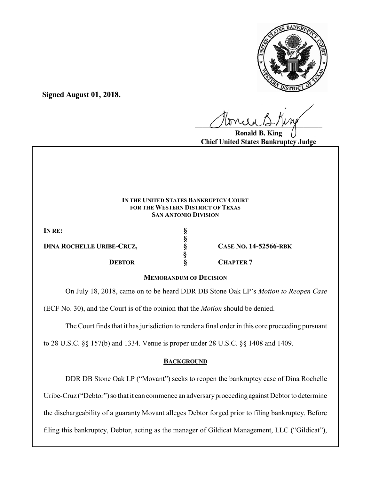

**Signed August 01, 2018.**

 $U^{WVQQ}$ 

**Ronald B. King Chief United States Bankruptcy Judge**

### **IN THE UNITED STATES BANKRUPTCY COURT FOR THE WESTERN DISTRICT OF TEXAS SAN ANTONIO DIVISION**

**§**

 **§**

**IN RE: §**

**DINA ROCHELLE URIBE-CRUZ, § CASE NO. 14-52566-RBK**

**DEBTOR § CHAPTER 7**

## **MEMORANDUM OF DECISION**

On July 18, 2018, came on to be heard DDR DB Stone Oak LP's *Motion to Reopen Case*

(ECF No. 30), and the Court is of the opinion that the *Motion* should be denied.

The Court finds that it has jurisdiction to render a final order in this core proceeding pursuant

to 28 U.S.C. §§ 157(b) and 1334. Venue is proper under 28 U.S.C. §§ 1408 and 1409.

# **BACKGROUND**

DDR DB Stone Oak LP ("Movant") seeks to reopen the bankruptcy case of Dina Rochelle

Uribe-Cruz ("Debtor") so that it can commence an adversary proceeding against Debtor to determine

the dischargeability of a guaranty Movant alleges Debtor forged prior to filing bankruptcy. Before

filing this bankruptcy, Debtor, acting as the manager of Gildicat Management, LLC ("Gildicat"),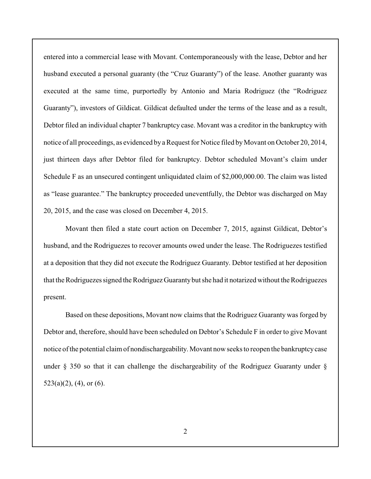entered into a commercial lease with Movant. Contemporaneously with the lease, Debtor and her husband executed a personal guaranty (the "Cruz Guaranty") of the lease. Another guaranty was executed at the same time, purportedly by Antonio and Maria Rodriguez (the "Rodriguez Guaranty"), investors of Gildicat. Gildicat defaulted under the terms of the lease and as a result, Debtor filed an individual chapter 7 bankruptcy case. Movant was a creditor in the bankruptcy with notice of all proceedings, as evidenced by a Request for Notice filed byMovant on October 20, 2014, just thirteen days after Debtor filed for bankruptcy. Debtor scheduled Movant's claim under Schedule F as an unsecured contingent unliquidated claim of \$2,000,000.00. The claim was listed as "lease guarantee." The bankruptcy proceeded uneventfully, the Debtor was discharged on May 20, 2015, and the case was closed on December 4, 2015.

Movant then filed a state court action on December 7, 2015, against Gildicat, Debtor's husband, and the Rodriguezes to recover amounts owed under the lease. The Rodriguezes testified at a deposition that they did not execute the Rodriguez Guaranty. Debtor testified at her deposition that the Rodriguezes signed the Rodriguez Guarantybut she had it notarized without the Rodriguezes present.

Based on these depositions, Movant now claims that the Rodriguez Guaranty was forged by Debtor and, therefore, should have been scheduled on Debtor's Schedule F in order to give Movant notice of the potential claim of nondischargeability. Movant now seeks to reopen the bankruptcycase under § 350 so that it can challenge the dischargeability of the Rodriguez Guaranty under §  $523(a)(2)$ , (4), or (6).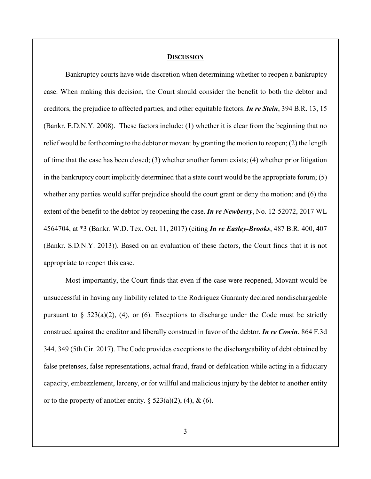#### **DISCUSSION**

Bankruptcy courts have wide discretion when determining whether to reopen a bankruptcy case. When making this decision, the Court should consider the benefit to both the debtor and creditors, the prejudice to affected parties, and other equitable factors. *In re Stein*, 394 B.R. 13, 15 (Bankr. E.D.N.Y. 2008). These factors include: (1) whether it is clear from the beginning that no relief would be forthcoming to the debtor or movant by granting the motion to reopen; (2) the length of time that the case has been closed; (3) whether another forum exists; (4) whether prior litigation in the bankruptcy court implicitly determined that a state court would be the appropriate forum; (5) whether any parties would suffer prejudice should the court grant or deny the motion; and (6) the extent of the benefit to the debtor by reopening the case. *In re Newberry*, No. 12-52072, 2017 WL 4564704, at \*3 (Bankr. W.D. Tex. Oct. 11, 2017) (citing *In re Easley-Brooks*, 487 B.R. 400, 407 (Bankr. S.D.N.Y. 2013)). Based on an evaluation of these factors, the Court finds that it is not appropriate to reopen this case.

Most importantly, the Court finds that even if the case were reopened, Movant would be unsuccessful in having any liability related to the Rodriguez Guaranty declared nondischargeable pursuant to  $\S$  523(a)(2), (4), or (6). Exceptions to discharge under the Code must be strictly construed against the creditor and liberally construed in favor of the debtor. *In re Cowin*, 864 F.3d 344, 349 (5th Cir. 2017). The Code provides exceptions to the dischargeability of debt obtained by false pretenses, false representations, actual fraud, fraud or defalcation while acting in a fiduciary capacity, embezzlement, larceny, or for willful and malicious injury by the debtor to another entity or to the property of another entity.  $\S 523(a)(2)$ , (4), & (6).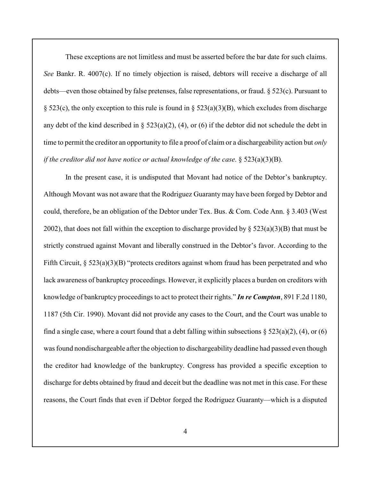These exceptions are not limitless and must be asserted before the bar date for such claims. *See* Bankr. R. 4007(c). If no timely objection is raised, debtors will receive a discharge of all debts—even those obtained by false pretenses, false representations, or fraud. § 523(c). Pursuant to § 523(c), the only exception to this rule is found in § 523(a)(3)(B), which excludes from discharge any debt of the kind described in  $\S$  523(a)(2), (4), or (6) if the debtor did not schedule the debt in time to permit the creditor an opportunity to file a proof of claim or a dischargeability action but *only if the creditor did not have notice or actual knowledge of the case*. § 523(a)(3)(B).

In the present case, it is undisputed that Movant had notice of the Debtor's bankruptcy. Although Movant was not aware that the Rodriguez Guaranty may have been forged by Debtor and could, therefore, be an obligation of the Debtor under Tex. Bus. & Com. Code Ann. § 3.403 (West 2002), that does not fall within the exception to discharge provided by  $\S 523(a)(3)(B)$  that must be strictly construed against Movant and liberally construed in the Debtor's favor. According to the Fifth Circuit, § 523(a)(3)(B) "protects creditors against whom fraud has been perpetrated and who lack awareness of bankruptcy proceedings. However, it explicitly places a burden on creditors with knowledge of bankruptcy proceedings to act to protect their rights." *In re Compton*, 891 F.2d 1180, 1187 (5th Cir. 1990). Movant did not provide any cases to the Court, and the Court was unable to find a single case, where a court found that a debt falling within subsections  $\S 523(a)(2)$ , (4), or (6) was found nondischargeable after the objection to dischargeability deadline had passed even though the creditor had knowledge of the bankruptcy. Congress has provided a specific exception to discharge for debts obtained by fraud and deceit but the deadline was not met in this case. For these reasons, the Court finds that even if Debtor forged the Rodriguez Guaranty—which is a disputed